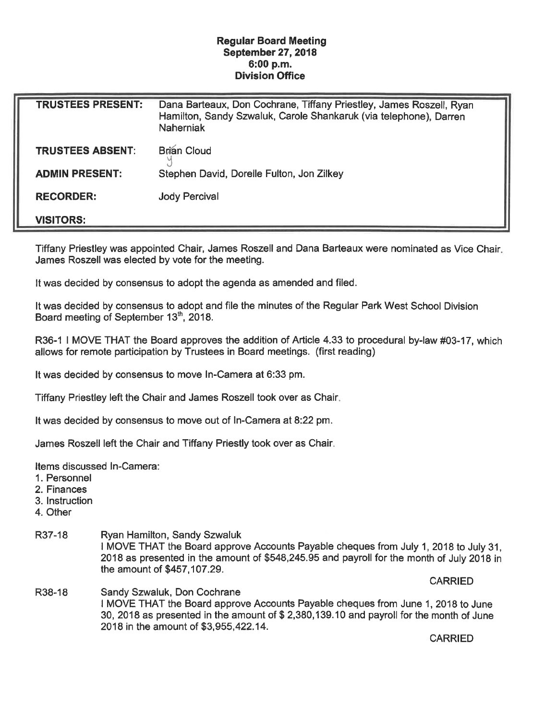## Regular Board Meeting September 27, 2018 6:00 p.m. Division Office

| <b>TRUSTEES PRESENT:</b> | Dana Barteaux, Don Cochrane, Tiffany Priestley, James Roszell, Ryan<br>Hamilton, Sandy Szwaluk, Carole Shankaruk (via telephone), Darren<br><b>Naherniak</b> |
|--------------------------|--------------------------------------------------------------------------------------------------------------------------------------------------------------|
| <b>TRUSTEES ABSENT:</b>  | <b>Brian Cloud</b>                                                                                                                                           |
| <b>ADMIN PRESENT:</b>    | Stephen David, Dorelle Fulton, Jon Zilkey                                                                                                                    |
| <b>RECORDER:</b>         | <b>Jody Percival</b>                                                                                                                                         |
| <b>VISITORS:</b>         |                                                                                                                                                              |

Tiffany Priestley was appointed Chair, James Roszell and Dana Barteaux were nominated as Vice Chair James Roszell was elected by vote for the meeting.

It was decided by consensus to adopt the agenda as amended and filed.

It was decided by consensus to adopt and file the minutes of the Regular Park West School Division Board meeting of September 13<sup>th</sup>, 2018.

R36-1 I MOVE THAT the Board approves the addition of Article 4. 33 to procedural by-law #03-17, which allows for remote participation by Trustees in Board meetings, (first reading)

It was decided by consensus to move In-Camera at 6:33 pm.

Tiffany Priestley left the Chair and James Roszell took over as Chair

It was decided by consensus to move out of In-Camera at 8:22 pm.

James Roszell left the Chair and Tiffany Priestly took over as Chair

Items discussed In-Camera:

- 1. Personnel
- 2. Finances
- 3. Instruction
- 4. Other
- R37-18 Ryan Hamilton, Sandy Szwaluk I MOVE THAT the Board approve Accounts Payable cheques from July 1, 2018 to July 31, 2018 as presented in the amount of \$548, 245. 95 and payroll for the month of July 2018 in the amount of \$457, 107.29. **CARRIED**
- R38-18 Sandy Szwaluk, Don Cochrane I MOVE THAT the Board approve Accounts Payable cheques from June 1, 2018 to June 30, 2018 as presented in the amount of \$ 2,380, 139. 10 and payroll for the month of June 2018 in the amount of \$3,955,422. 14.

**CARRIED**